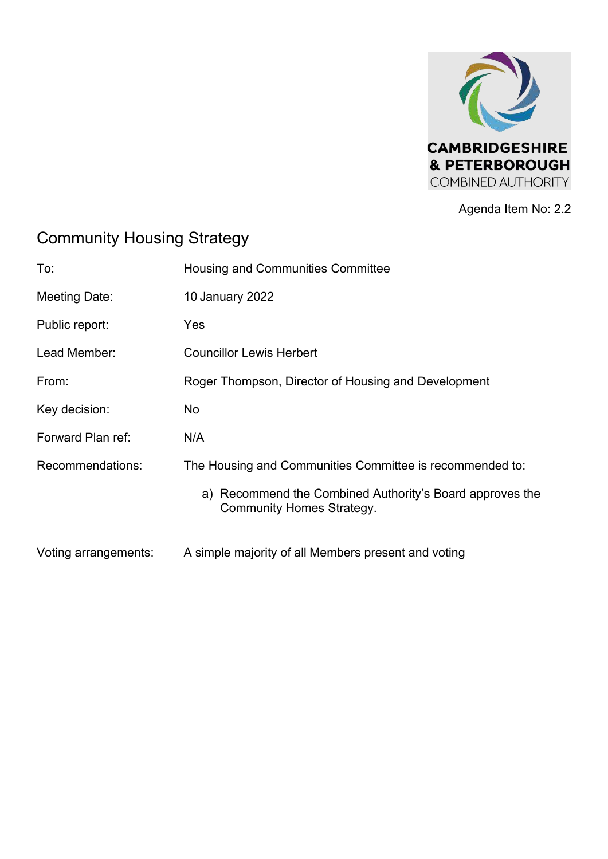

Agenda Item No: 2.2

## Community Housing Strategy

| To:                  | Housing and Communities Committee                                                            |
|----------------------|----------------------------------------------------------------------------------------------|
| Meeting Date:        | 10 January 2022                                                                              |
| Public report:       | Yes                                                                                          |
| Lead Member:         | <b>Councillor Lewis Herbert</b>                                                              |
| From:                | Roger Thompson, Director of Housing and Development                                          |
| Key decision:        | No                                                                                           |
| Forward Plan ref:    | N/A                                                                                          |
| Recommendations:     | The Housing and Communities Committee is recommended to:                                     |
|                      | a) Recommend the Combined Authority's Board approves the<br><b>Community Homes Strategy.</b> |
| Voting arrangements: | A simple majority of all Members present and voting                                          |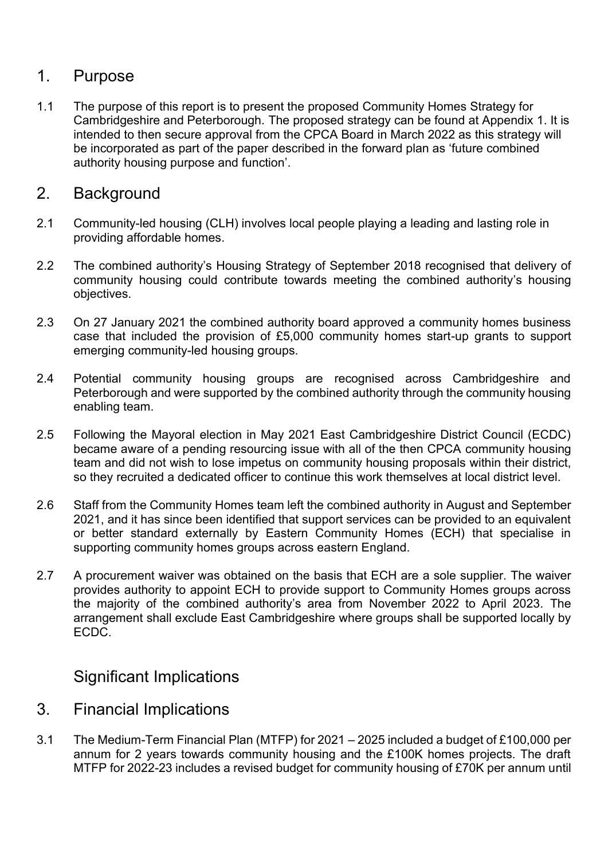## 1. Purpose

1.1 The purpose of this report is to present the proposed Community Homes Strategy for Cambridgeshire and Peterborough. The proposed strategy can be found at Appendix 1. It is intended to then secure approval from the CPCA Board in March 2022 as this strategy will be incorporated as part of the paper described in the forward plan as 'future combined authority housing purpose and function'.

## 2. Background

- 2.1 Community-led housing (CLH) involves local people playing a leading and lasting role in providing affordable homes.
- 2.2 The combined authority's Housing Strategy of September 2018 recognised that delivery of community housing could contribute towards meeting the combined authority's housing objectives.
- 2.3 On 27 January 2021 the combined authority board approved a community homes business case that included the provision of £5,000 community homes start-up grants to support emerging community-led housing groups.
- 2.4 Potential community housing groups are recognised across Cambridgeshire and Peterborough and were supported by the combined authority through the community housing enabling team.
- 2.5 Following the Mayoral election in May 2021 East Cambridgeshire District Council (ECDC) became aware of a pending resourcing issue with all of the then CPCA community housing team and did not wish to lose impetus on community housing proposals within their district, so they recruited a dedicated officer to continue this work themselves at local district level.
- 2.6 Staff from the Community Homes team left the combined authority in August and September 2021, and it has since been identified that support services can be provided to an equivalent or better standard externally by Eastern Community Homes (ECH) that specialise in supporting community homes groups across eastern England.
- 2.7 A procurement waiver was obtained on the basis that ECH are a sole supplier. The waiver provides authority to appoint ECH to provide support to Community Homes groups across the majority of the combined authority's area from November 2022 to April 2023. The arrangement shall exclude East Cambridgeshire where groups shall be supported locally by ECDC.

## Significant Implications

- 3. Financial Implications
- 3.1 The Medium-Term Financial Plan (MTFP) for 2021 2025 included a budget of £100,000 per annum for 2 years towards community housing and the £100K homes projects. The draft MTFP for 2022-23 includes a revised budget for community housing of £70K per annum until